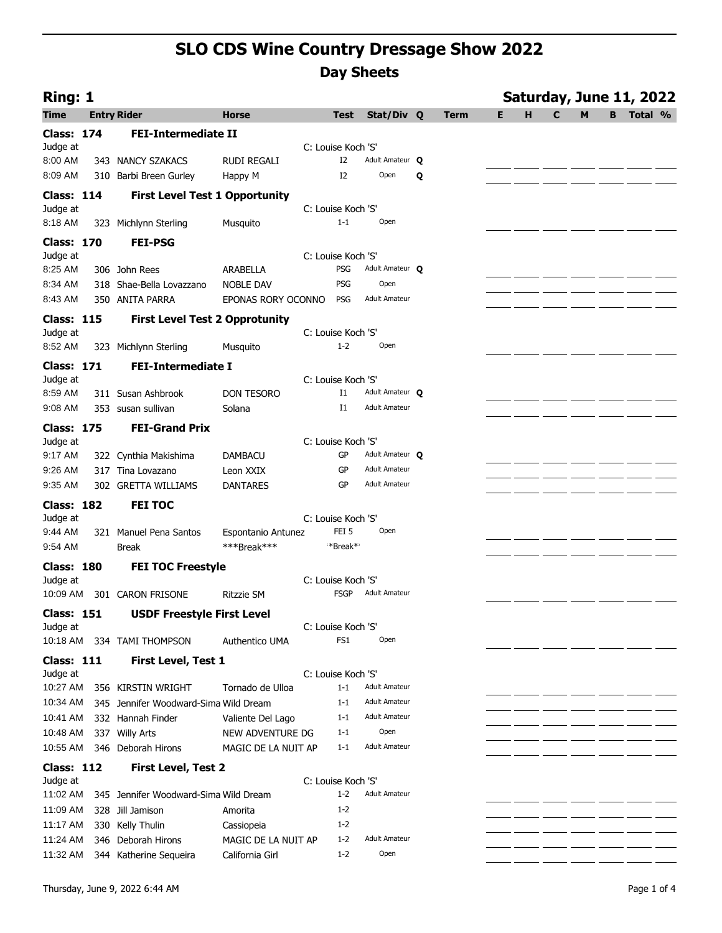| Ring: 1                       |                                                           |                                   |                                        |                        |   |             |   |   |   |   |   | Saturday, June 11, 2022 |  |
|-------------------------------|-----------------------------------------------------------|-----------------------------------|----------------------------------------|------------------------|---|-------------|---|---|---|---|---|-------------------------|--|
| <b>Time</b>                   | <b>Entry Rider</b>                                        | <b>Horse</b>                      | <b>Test</b>                            | Stat/Div Q             |   | <b>Term</b> | Е | н | C | M | B | Total %                 |  |
| <b>Class: 174</b>             | <b>FEI-Intermediate II</b>                                |                                   |                                        |                        |   |             |   |   |   |   |   |                         |  |
| Judge at                      |                                                           |                                   | C: Louise Koch 'S'                     |                        |   |             |   |   |   |   |   |                         |  |
| 8:00 AM                       | 343 NANCY SZAKACS                                         | <b>RUDI REGALI</b>                | I2                                     | Adult Amateur Q        |   |             |   |   |   |   |   |                         |  |
| 8:09 AM                       | 310 Barbi Breen Gurley                                    | Happy M                           | I2                                     | Open                   | Q |             |   |   |   |   |   |                         |  |
| <b>Class: 114</b>             | <b>First Level Test 1 Opportunity</b>                     |                                   |                                        |                        |   |             |   |   |   |   |   |                         |  |
| Judge at                      |                                                           |                                   | C: Louise Koch 'S'                     |                        |   |             |   |   |   |   |   |                         |  |
| 8:18 AM                       | 323 Michlynn Sterling                                     | Musquito                          | $1 - 1$                                | Open                   |   |             |   |   |   |   |   |                         |  |
| <b>Class: 170</b>             | <b>FEI-PSG</b>                                            |                                   |                                        |                        |   |             |   |   |   |   |   |                         |  |
| Judge at<br>8:25 AM           | 306 John Rees                                             | ARABELLA                          | C: Louise Koch 'S'<br><b>PSG</b>       | Adult Amateur O        |   |             |   |   |   |   |   |                         |  |
| 8:34 AM                       | 318 Shae-Bella Lovazzano                                  | <b>NOBLE DAV</b>                  | <b>PSG</b>                             | Open                   |   |             |   |   |   |   |   |                         |  |
| 8:43 AM                       | 350 ANITA PARRA                                           | EPONAS RORY OCONNO                | <b>PSG</b>                             | <b>Adult Amateur</b>   |   |             |   |   |   |   |   |                         |  |
|                               |                                                           |                                   |                                        |                        |   |             |   |   |   |   |   |                         |  |
| <b>Class: 115</b><br>Judge at | <b>First Level Test 2 Opprotunity</b>                     |                                   | C: Louise Koch 'S'                     |                        |   |             |   |   |   |   |   |                         |  |
| 8:52 AM                       | 323 Michlynn Sterling                                     | Musquito                          | $1 - 2$                                | Open                   |   |             |   |   |   |   |   |                         |  |
| <b>Class: 171</b>             | <b>FEI-Intermediate I</b>                                 |                                   |                                        |                        |   |             |   |   |   |   |   |                         |  |
| Judge at                      |                                                           |                                   | C: Louise Koch 'S'                     |                        |   |             |   |   |   |   |   |                         |  |
| 8:59 AM                       | 311 Susan Ashbrook                                        | <b>DON TESORO</b>                 | Ι1                                     | Adult Amateur Q        |   |             |   |   |   |   |   |                         |  |
| 9:08 AM                       | 353 susan sullivan                                        | Solana                            | $_{\rm I1}$                            | <b>Adult Amateur</b>   |   |             |   |   |   |   |   |                         |  |
| <b>Class: 175</b>             | <b>FEI-Grand Prix</b>                                     |                                   |                                        |                        |   |             |   |   |   |   |   |                         |  |
| Judge at                      |                                                           |                                   | C: Louise Koch 'S'                     |                        |   |             |   |   |   |   |   |                         |  |
| 9:17 AM                       | 322 Cynthia Makishima                                     | <b>DAMBACU</b>                    | GP                                     | Adult Amateur <b>Q</b> |   |             |   |   |   |   |   |                         |  |
| 9:26 AM                       | 317 Tina Lovazano                                         | Leon XXIX                         | GP                                     | <b>Adult Amateur</b>   |   |             |   |   |   |   |   |                         |  |
| 9:35 AM                       | 302 GRETTA WILLIAMS                                       | <b>DANTARES</b>                   | GP                                     | <b>Adult Amateur</b>   |   |             |   |   |   |   |   |                         |  |
| <b>Class: 182</b>             | <b>FEI TOC</b>                                            |                                   |                                        |                        |   |             |   |   |   |   |   |                         |  |
| Judge at                      |                                                           |                                   | C: Louise Koch 'S'<br>FEI <sub>5</sub> | Open                   |   |             |   |   |   |   |   |                         |  |
| 9:44 AM<br>9:54 AM            | 321 Manuel Pena Santos<br><b>Break</b>                    | Espontanio Antunez<br>***Break*** | **Break**                              |                        |   |             |   |   |   |   |   |                         |  |
|                               |                                                           |                                   |                                        |                        |   |             |   |   |   |   |   |                         |  |
| <b>Class: 180</b><br>Judge at | <b>FEI TOC Freestyle</b>                                  |                                   | C: Louise Koch 'S'                     |                        |   |             |   |   |   |   |   |                         |  |
| 10:09 AM                      | 301 CARON FRISONE                                         | <b>Ritzzie SM</b>                 | <b>FSGP</b>                            | <b>Adult Amateur</b>   |   |             |   |   |   |   |   |                         |  |
| <b>Class: 151</b>             | <b>USDF Freestyle First Level</b>                         |                                   |                                        |                        |   |             |   |   |   |   |   |                         |  |
| Judge at                      |                                                           |                                   | C: Louise Koch 'S'                     |                        |   |             |   |   |   |   |   |                         |  |
|                               | 10:18 AM 334 TAMI THOMPSON                                | Authentico UMA                    | FS <sub>1</sub>                        | Open                   |   |             |   |   |   |   |   |                         |  |
| <b>Class: 111</b>             | <b>First Level, Test 1</b>                                |                                   |                                        |                        |   |             |   |   |   |   |   |                         |  |
| Judge at                      |                                                           |                                   | C: Louise Koch 'S'                     |                        |   |             |   |   |   |   |   |                         |  |
| 10:27 AM                      | 356 KIRSTIN WRIGHT                                        | Tornado de Ulloa                  | $1 - 1$                                | <b>Adult Amateur</b>   |   |             |   |   |   |   |   |                         |  |
| 10:34 AM                      | 345 Jennifer Woodward-Sima Wild Dream                     |                                   | $1 - 1$                                | <b>Adult Amateur</b>   |   |             |   |   |   |   |   |                         |  |
| 10:41 AM                      | 332 Hannah Finder                                         | Valiente Del Lago                 | $1 - 1$                                | <b>Adult Amateur</b>   |   |             |   |   |   |   |   |                         |  |
| 10:48 AM                      | 337 Willy Arts                                            | NEW ADVENTURE DG                  | $1 - 1$                                | Open                   |   |             |   |   |   |   |   |                         |  |
| 10:55 AM                      | 346 Deborah Hirons                                        | MAGIC DE LA NUIT AP               | $1 - 1$                                | <b>Adult Amateur</b>   |   |             |   |   |   |   |   |                         |  |
| <b>Class: 112</b>             | <b>First Level, Test 2</b>                                |                                   |                                        |                        |   |             |   |   |   |   |   |                         |  |
| Judge at                      |                                                           |                                   | C: Louise Koch 'S'                     | <b>Adult Amateur</b>   |   |             |   |   |   |   |   |                         |  |
| 11:02 AM<br>11:09 AM          | 345 Jennifer Woodward-Sima Wild Dream<br>328 Jill Jamison | Amorita                           | $1 - 2$<br>$1 - 2$                     |                        |   |             |   |   |   |   |   |                         |  |
| 11:17 AM                      | 330 Kelly Thulin                                          | Cassiopeia                        | $1 - 2$                                |                        |   |             |   |   |   |   |   |                         |  |
| 11:24 AM                      | 346 Deborah Hirons                                        | MAGIC DE LA NUIT AP               | $1 - 2$                                | <b>Adult Amateur</b>   |   |             |   |   |   |   |   |                         |  |
| 11:32 AM                      | 344 Katherine Sequeira                                    | California Girl                   | $1 - 2$                                | Open                   |   |             |   |   |   |   |   |                         |  |
|                               |                                                           |                                   |                                        |                        |   |             |   |   |   |   |   |                         |  |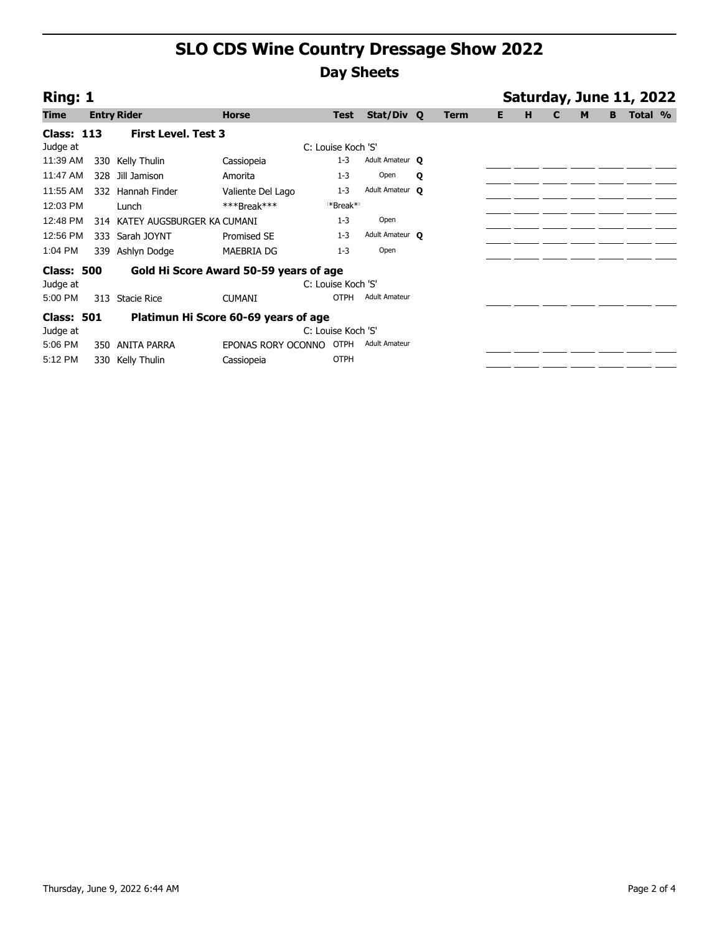| Ring: 1                                                     |                                                           |                                |                    |                    |                        |   |             |    |   |   |   |   | Saturday, June 11, 2022 |  |
|-------------------------------------------------------------|-----------------------------------------------------------|--------------------------------|--------------------|--------------------|------------------------|---|-------------|----|---|---|---|---|-------------------------|--|
| <b>Time</b>                                                 |                                                           | <b>Entry Rider</b>             | <b>Horse</b>       | <b>Test</b>        | Stat/Div Q             |   | <b>Term</b> | E. | н | C | M | В | Total %                 |  |
| <b>Class: 113</b>                                           |                                                           | <b>First Level. Test 3</b>     |                    |                    |                        |   |             |    |   |   |   |   |                         |  |
| Judge at                                                    |                                                           |                                |                    | C: Louise Koch 'S' |                        |   |             |    |   |   |   |   |                         |  |
| 11:39 AM                                                    |                                                           | 330 Kelly Thulin               | Cassiopeia         | $1 - 3$            | Adult Amateur <b>Q</b> |   |             |    |   |   |   |   |                         |  |
| 11:47 AM                                                    |                                                           | 328 Jill Jamison               | Amorita            | $1 - 3$            | Open                   | Q |             |    |   |   |   |   |                         |  |
| 11:55 AM                                                    |                                                           | 332 Hannah Finder              | Valiente Del Lago  | $1 - 3$            | Adult Amateur O        |   |             |    |   |   |   |   |                         |  |
| 12:03 PM                                                    |                                                           | Lunch                          | $***$ Break***     | **Break**          |                        |   |             |    |   |   |   |   |                         |  |
| 12:48 PM                                                    |                                                           | 314 KATEY AUGSBURGER KA CUMANI |                    | $1 - 3$            | Open                   |   |             |    |   |   |   |   |                         |  |
| 12:56 PM                                                    |                                                           | 333 Sarah JOYNT                | Promised SE        | $1 - 3$            | Adult Amateur O        |   |             |    |   |   |   |   |                         |  |
| 1:04 PM                                                     | 339                                                       | Ashlyn Dodge                   | MAEBRIA DG         | $1 - 3$            | Open                   |   |             |    |   |   |   |   |                         |  |
| <b>Class: 500</b><br>Gold Hi Score Award 50-59 years of age |                                                           |                                |                    |                    |                        |   |             |    |   |   |   |   |                         |  |
| Judge at                                                    |                                                           |                                |                    | C: Louise Koch 'S' |                        |   |             |    |   |   |   |   |                         |  |
| 5:00 PM                                                     | 313                                                       | <b>Stacie Rice</b>             | <b>CUMANI</b>      | <b>OTPH</b>        | <b>Adult Amateur</b>   |   |             |    |   |   |   |   |                         |  |
|                                                             | <b>Class: 501</b><br>Platimun Hi Score 60-69 years of age |                                |                    |                    |                        |   |             |    |   |   |   |   |                         |  |
| Judge at                                                    |                                                           |                                |                    | C: Louise Koch 'S' |                        |   |             |    |   |   |   |   |                         |  |
| 5:06 PM                                                     | 350                                                       | ANITA PARRA                    | EPONAS RORY OCONNO | <b>OTPH</b>        | <b>Adult Amateur</b>   |   |             |    |   |   |   |   |                         |  |
| 5:12 PM                                                     |                                                           | 330 Kelly Thulin               | Cassiopeia         | <b>OTPH</b>        |                        |   |             |    |   |   |   |   |                         |  |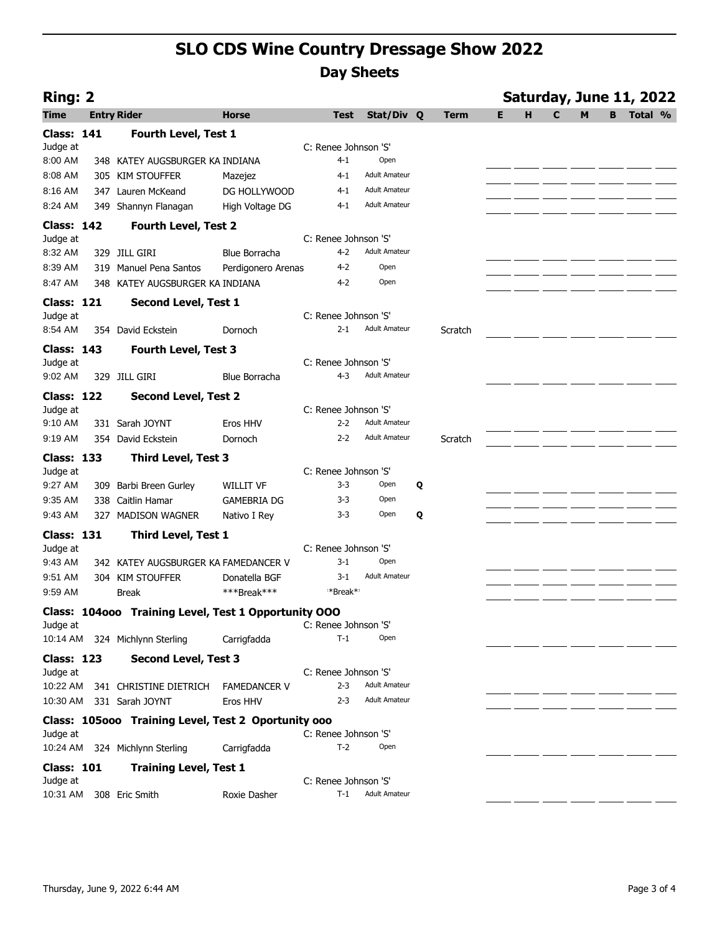| <b>Ring: 2</b>    |                                                      |                      |                      |                      |   |             |   |   |   |   |   | Saturday, June 11, 2022 |  |
|-------------------|------------------------------------------------------|----------------------|----------------------|----------------------|---|-------------|---|---|---|---|---|-------------------------|--|
| <b>Time</b>       | <b>Entry Rider</b>                                   | <b>Horse</b>         | <b>Test</b>          | Stat/Div Q           |   | <b>Term</b> | Е | н | C | M | B | Total %                 |  |
| <b>Class: 141</b> | Fourth Level, Test 1                                 |                      |                      |                      |   |             |   |   |   |   |   |                         |  |
| Judge at          |                                                      |                      | C: Renee Johnson 'S' |                      |   |             |   |   |   |   |   |                         |  |
| 8:00 AM           | 348 KATEY AUGSBURGER KA INDIANA                      |                      | $4 - 1$              | Open                 |   |             |   |   |   |   |   |                         |  |
| 8:08 AM           | 305 KIM STOUFFER                                     | Mazejez              | 4-1                  | <b>Adult Amateur</b> |   |             |   |   |   |   |   |                         |  |
| 8:16 AM           | 347 Lauren McKeand                                   | DG HOLLYWOOD         | $4 - 1$              | <b>Adult Amateur</b> |   |             |   |   |   |   |   |                         |  |
| 8:24 AM           | 349 Shannyn Flanagan                                 | High Voltage DG      | $4 - 1$              | <b>Adult Amateur</b> |   |             |   |   |   |   |   |                         |  |
| <b>Class: 142</b> | <b>Fourth Level, Test 2</b>                          |                      |                      |                      |   |             |   |   |   |   |   |                         |  |
| Judge at          |                                                      |                      | C: Renee Johnson 'S' |                      |   |             |   |   |   |   |   |                         |  |
| 8:32 AM           | 329 JILL GIRI                                        | <b>Blue Borracha</b> | $4 - 2$              | <b>Adult Amateur</b> |   |             |   |   |   |   |   |                         |  |
| 8:39 AM           | 319 Manuel Pena Santos                               | Perdigonero Arenas   | 4-2                  | Open                 |   |             |   |   |   |   |   |                         |  |
| 8:47 AM           | 348 KATEY AUGSBURGER KA INDIANA                      |                      | $4-2$                | Open                 |   |             |   |   |   |   |   |                         |  |
| <b>Class: 121</b> | <b>Second Level, Test 1</b>                          |                      |                      |                      |   |             |   |   |   |   |   |                         |  |
| Judge at          |                                                      |                      | C: Renee Johnson 'S' |                      |   |             |   |   |   |   |   |                         |  |
| 8:54 AM           | 354 David Eckstein                                   | Dornoch              | $2 - 1$              | <b>Adult Amateur</b> |   | Scratch     |   |   |   |   |   |                         |  |
| <b>Class: 143</b> | <b>Fourth Level, Test 3</b>                          |                      |                      |                      |   |             |   |   |   |   |   |                         |  |
| Judge at          |                                                      |                      | C: Renee Johnson 'S' |                      |   |             |   |   |   |   |   |                         |  |
| 9:02 AM           | 329 JILL GIRI                                        | <b>Blue Borracha</b> | $4 - 3$              | <b>Adult Amateur</b> |   |             |   |   |   |   |   |                         |  |
| Class: 122        | <b>Second Level, Test 2</b>                          |                      |                      |                      |   |             |   |   |   |   |   |                         |  |
| Judge at          |                                                      |                      | C: Renee Johnson 'S' |                      |   |             |   |   |   |   |   |                         |  |
| 9:10 AM           | 331 Sarah JOYNT                                      | Eros HHV             | $2 - 2$              | <b>Adult Amateur</b> |   |             |   |   |   |   |   |                         |  |
| 9:19 AM           | 354 David Eckstein                                   | Dornoch              | $2 - 2$              | <b>Adult Amateur</b> |   | Scratch     |   |   |   |   |   |                         |  |
| <b>Class: 133</b> | <b>Third Level, Test 3</b>                           |                      |                      |                      |   |             |   |   |   |   |   |                         |  |
| Judge at          |                                                      |                      | C: Renee Johnson 'S' |                      |   |             |   |   |   |   |   |                         |  |
| 9:27 AM           | 309 Barbi Breen Gurley                               | WILLIT VF            | $3 - 3$              | Open                 | Q |             |   |   |   |   |   |                         |  |
| 9:35 AM           | Caitlin Hamar<br>338                                 | <b>GAMEBRIA DG</b>   | $3 - 3$              | Open                 |   |             |   |   |   |   |   |                         |  |
| 9:43 AM           | 327 MADISON WAGNER                                   | Nativo I Rey         | 3-3                  | Open                 | Q |             |   |   |   |   |   |                         |  |
| <b>Class: 131</b> | <b>Third Level, Test 1</b>                           |                      |                      |                      |   |             |   |   |   |   |   |                         |  |
| Judge at          |                                                      |                      | C: Renee Johnson 'S' |                      |   |             |   |   |   |   |   |                         |  |
| 9:43 AM           | 342 KATEY AUGSBURGER KA FAMEDANCER V                 |                      | $3 - 1$              | Open                 |   |             |   |   |   |   |   |                         |  |
| 9:51 AM           | 304 KIM STOUFFER                                     | Donatella BGF        | 3-1                  | <b>Adult Amateur</b> |   |             |   |   |   |   |   |                         |  |
| 9:59 AM           | <b>Break</b>                                         | ***Break***          | **Break**            |                      |   |             |   |   |   |   |   |                         |  |
|                   | Class: 104000 Training Level, Test 1 Opportunity 000 |                      |                      |                      |   |             |   |   |   |   |   |                         |  |
| Judge at          |                                                      |                      | C: Renee Johnson 'S' |                      |   |             |   |   |   |   |   |                         |  |
| 10:14 AM          | 324 Michlynn Sterling                                | Carrigfadda          | $T-1$                | Open                 |   |             |   |   |   |   |   |                         |  |
| <b>Class: 123</b> | <b>Second Level, Test 3</b>                          |                      |                      |                      |   |             |   |   |   |   |   |                         |  |
| Judge at          |                                                      |                      | C: Renee Johnson 'S' |                      |   |             |   |   |   |   |   |                         |  |
| 10:22 AM          | 341 CHRISTINE DIETRICH                               | <b>FAMEDANCER V</b>  | $2 - 3$              | <b>Adult Amateur</b> |   |             |   |   |   |   |   |                         |  |
| 10:30 AM          | 331 Sarah JOYNT                                      | Eros HHV             | $2 - 3$              | <b>Adult Amateur</b> |   |             |   |   |   |   |   |                         |  |
|                   | Class: 105000 Training Level, Test 2 Oportunity 000  |                      |                      |                      |   |             |   |   |   |   |   |                         |  |
| Judge at          |                                                      |                      | C: Renee Johnson 'S' |                      |   |             |   |   |   |   |   |                         |  |
| 10:24 AM          | 324 Michlynn Sterling                                | Carrigfadda          | $T-2$                | Open                 |   |             |   |   |   |   |   |                         |  |
| <b>Class: 101</b> | <b>Training Level, Test 1</b>                        |                      |                      |                      |   |             |   |   |   |   |   |                         |  |
| Judge at          |                                                      |                      | C: Renee Johnson 'S' |                      |   |             |   |   |   |   |   |                         |  |
| 10:31 AM          | 308 Eric Smith                                       | Roxie Dasher         | $T-1$                | <b>Adult Amateur</b> |   |             |   |   |   |   |   |                         |  |